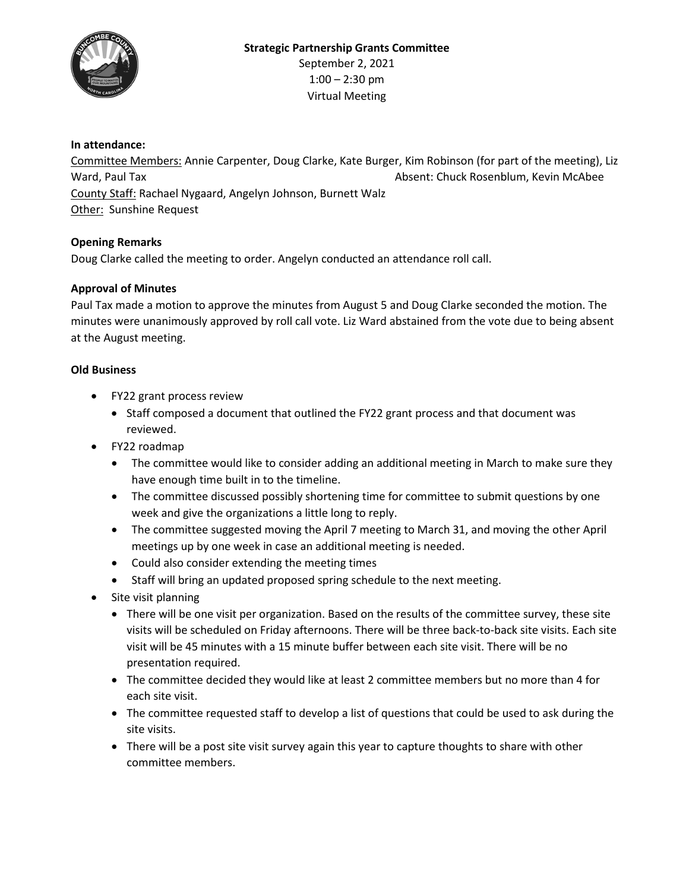

## **In attendance:**

Committee Members: Annie Carpenter, Doug Clarke, Kate Burger, Kim Robinson (for part of the meeting), Liz Ward, Paul Tax **Absent: Chuck Rosenblum, Kevin McAbee** County Staff: Rachael Nygaard, Angelyn Johnson, Burnett Walz Other: Sunshine Request

### **Opening Remarks**

Doug Clarke called the meeting to order. Angelyn conducted an attendance roll call.

# **Approval of Minutes**

Paul Tax made a motion to approve the minutes from August 5 and Doug Clarke seconded the motion. The minutes were unanimously approved by roll call vote. Liz Ward abstained from the vote due to being absent at the August meeting.

### **Old Business**

- FY22 grant process review
	- Staff composed a document that outlined the FY22 grant process and that document was reviewed.
- FY22 roadmap
	- The committee would like to consider adding an additional meeting in March to make sure they have enough time built in to the timeline.
	- The committee discussed possibly shortening time for committee to submit questions by one week and give the organizations a little long to reply.
	- The committee suggested moving the April 7 meeting to March 31, and moving the other April meetings up by one week in case an additional meeting is needed.
	- Could also consider extending the meeting times
	- Staff will bring an updated proposed spring schedule to the next meeting.
- Site visit planning
	- There will be one visit per organization. Based on the results of the committee survey, these site visits will be scheduled on Friday afternoons. There will be three back-to-back site visits. Each site visit will be 45 minutes with a 15 minute buffer between each site visit. There will be no presentation required.
	- The committee decided they would like at least 2 committee members but no more than 4 for each site visit.
	- The committee requested staff to develop a list of questions that could be used to ask during the site visits.
	- There will be a post site visit survey again this year to capture thoughts to share with other committee members.